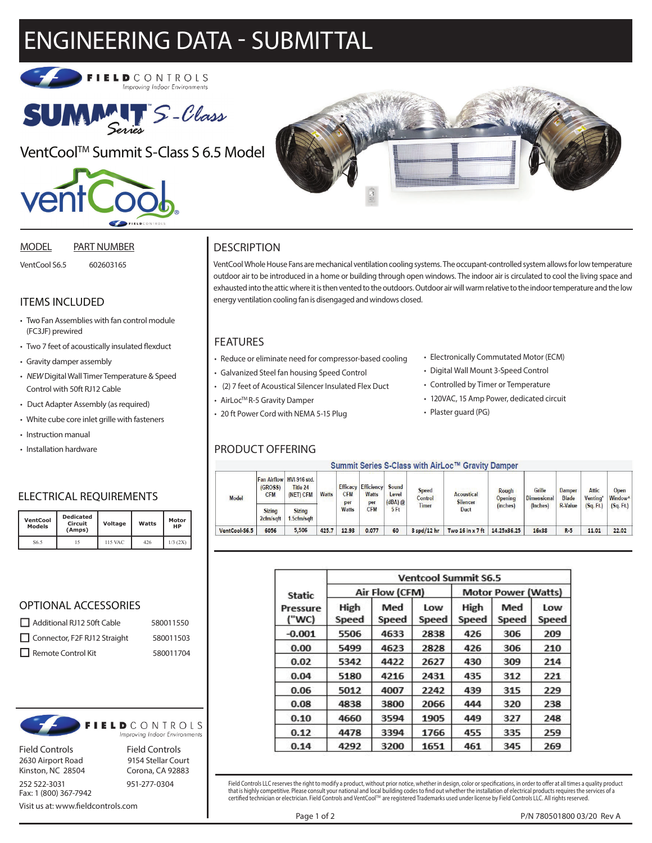# ENGINEERING DATA - SUBMITTAL





VentCool<sup>™</sup> Summit S-Class S 6.5 Model



#### MODEL PART NUMBER

VentCool S6.5 602603165

# ITEMS INCLUDED

- Two Fan Assemblies with fan control module (FC3JF) prewired
- Two 7 feet of acoustically insulated flexduct
- Gravity damper assembly
- NEW Digital Wall Timer Temperature & Speed Control with 50ft RJ12 Cable
- Duct Adapter Assembly (as required)
- White cube core inlet grille with fasteners
- Instruction manual
- Installation hardware

# ELECTRICAL REQUIREMENTS

| <b>VentCool</b><br><b>Models</b> | <b>Dedicated</b><br>Circuit<br>(Amps) | Voltage |     | Motor<br>НP |  |
|----------------------------------|---------------------------------------|---------|-----|-------------|--|
| S6.5                             |                                       | 115 VAC | 426 | $1/3$ (2X)  |  |

#### OPTIONAL ACCESSORIES

| Additional RJ12 50ft Cable   | 580011550 |  |  |
|------------------------------|-----------|--|--|
| Connector, F2F RJ12 Straight | 580011503 |  |  |
| $\Box$ Remote Control Kit    | 580011704 |  |  |



Field Controls Field Controls

2630 Airport Road 9154 Stellar Court Kinston, NC 28504 Corona, CA 92883



Visit us at: www.fieldcontrols.com



# **DESCRIPTION**

VentCool Whole House Fans are mechanical ventilation cooling systems. The occupant-controlled system allows for low temperature outdoor air to be introduced in a home or building through open windows. The indoor air is circulated to cool the living space and exhausted into the attic where it is then vented to the outdoors. Outdoor air will warm relative to the indoor temperature and the low energy ventilation cooling fan is disengaged and windows closed.

# FEATURES

- Reduce or eliminate need for compressor-based cooling
- Galvanized Steel fan housing Speed Control
- (2) 7 feet of Acoustical Silencer Insulated Flex Duct
- AirLoc<sup>TM</sup> R-5 Gravity Damper

• 20 ft Power Cord with NEMA 5-15 Plug

### PRODUCT OFFERING

- Electronically Commutated Motor (ECM)
- Digital Wall Mount 3-Speed Control
- Controlled by Timer or Temperature
- 120VAC, 15 Amp Power, dedicated circuit
- Plaster guard (PG)

#### Summit Series S-Class with AirLoc™ Gravity Damper

| Model         | <b>Fan Airflow</b><br>(GROSS)<br><b>CFM</b> | <b>HVI-916 std.</b><br>Title 24<br>(NET) CFM | <b>Watts</b> | <b>Efficacy</b><br><b>CFM</b><br>per<br><b>Watts</b> | <b>Efficiency</b><br><b>Watts</b><br>per<br><b>CFM</b> | Sound<br>Level<br>$(dBA)$ @<br>5Ft | <b>Speed</b><br>Control<br><b>Timer</b> | <b>Acoustical</b><br><b>Silencer</b><br>Duct | Rough<br>Opening<br>(inches) | Grille<br><b>Dimensional</b><br>(Inches) | <b>Damper</b><br><b>Blade</b><br><b>R-Value</b> | Attic<br>Venting*<br>(Sq, Ft) | Open<br>Window <sup>^</sup><br>(Sq. Ft.) |
|---------------|---------------------------------------------|----------------------------------------------|--------------|------------------------------------------------------|--------------------------------------------------------|------------------------------------|-----------------------------------------|----------------------------------------------|------------------------------|------------------------------------------|-------------------------------------------------|-------------------------------|------------------------------------------|
|               | <b>Sizing</b><br>2cfm/sqft                  | <b>Sizing</b><br>1.5cfm/sqft                 |              |                                                      |                                                        |                                    |                                         |                                              |                              |                                          |                                                 |                               |                                          |
| VentCool-S6.5 | 6056                                        | 5.506                                        | 425.7        | 12.93                                                | 0.077                                                  | 60                                 | $3$ spd/12 hr                           | Two $16$ in $x$ 7 ft                         | 14.25x36.25                  | 16x38                                    | $R-5$                                           | 11.01                         | 22.02                                    |

|                                    | <b>Ventcool Summit S6.5</b> |                |              |                            |              |              |  |  |  |  |
|------------------------------------|-----------------------------|----------------|--------------|----------------------------|--------------|--------------|--|--|--|--|
| <b>Static</b><br>Pressure<br>("WC) |                             | Air Flow (CFM) |              | <b>Motor Power (Watts)</b> |              |              |  |  |  |  |
|                                    | High<br>Speed               | Med<br>Speed   | Low<br>Speed | High<br>Speed              | Med<br>Speed | Low<br>Speed |  |  |  |  |
| $-0.001$                           | 5506                        | 4633           | 2838         | 426                        | 306          | 209          |  |  |  |  |
| 0.00                               | 5499                        | 4623           | 2828         | 426                        | 306          | 210          |  |  |  |  |
| 0.02                               | 5342                        | 4422           | 2627         | 430                        | 309          | 214          |  |  |  |  |
| 0.04                               | 5180                        | 4216           | 2431         | 435                        | 312          | 221          |  |  |  |  |
| 0.06                               | 5012                        | 4007           | 2242         | 439                        | 315          | 229          |  |  |  |  |
| 0.08                               | 4838                        | 3800           | 2066         | 444                        | 320          | 238          |  |  |  |  |
| 0.10                               | 4660                        | 3594           | 1905         | 449                        | 327          | 248          |  |  |  |  |
| 0.12                               | 4478                        | 3394           | 1766         | 455                        | 335          | 259          |  |  |  |  |
| 0.14                               | 4292                        | 3200           | 1651         | 461                        | 345          | 269          |  |  |  |  |

Field Controls LLC reserves the right to modify a product, without prior notice, whether in design, color or specifications, in order to offer at all times a quality product that is highly competitive. Please consult your national and local building codes to find out whether the installation of electrical products requires the services of a<br>certified technician or electrician. Field Controls